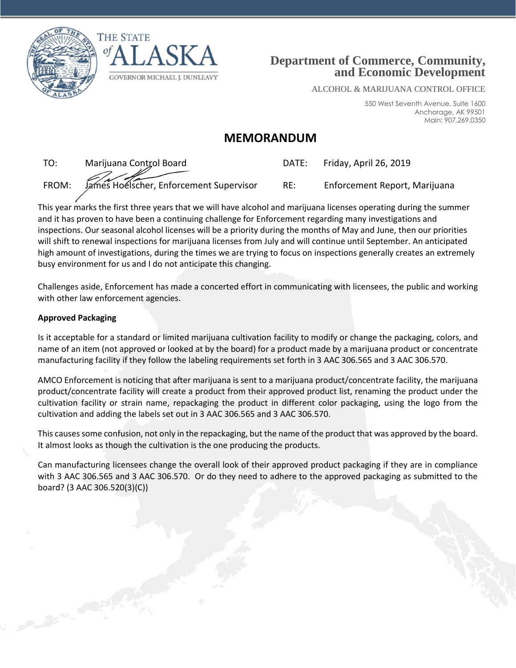





ALCOHOL & MARIJUANA CONTROL OFFICE

550 West Seventh Avenue, Suite 1600 Anchorage, AK 99501 Main: 907.269.0350

## **MEMORANDUM**

TO: Marijuana Control Board DATE: Friday, April 26, 2019 FROM: James Hoelscher, Enforcement Supervisor RE: Enforcement Report, Marijuana

This year marks the first three years that we will have alcohol and marijuana licenses operating during the summer and it has proven to have been a continuing challenge for Enforcement regarding many investigations and inspections. Our seasonal alcohol licenses will be a priority during the months of May and June, then our priorities will shift to renewal inspections for marijuana licenses from July and will continue until September. An anticipated high amount of investigations, during the times we are trying to focus on inspections generally creates an extremely busy environment for us and I do not anticipate this changing.

Challenges aside, Enforcement has made a concerted effort in communicating with licensees, the public and working with other law enforcement agencies.

## **Approved Packaging**

Canada Canada

Is it acceptable for a standard or limited marijuana cultivation facility to modify or change the packaging, colors, and name of an item (not approved or looked at by the board) for a product made by a marijuana product or concentrate manufacturing facility if they follow the labeling requirements set forth in 3 AAC 306.565 and 3 AAC 306.570.

AMCO Enforcement is noticing that after marijuana is sent to a marijuana product/concentrate facility, the marijuana product/concentrate facility will create a product from their approved product list, renaming the product under the cultivation facility or strain name, repackaging the product in different color packaging, using the logo from the cultivation and adding the labels set out in 3 AAC 306.565 and 3 AAC 306.570.

This causes some confusion, not only in the repackaging, but the name of the product that was approved by the board. It almost looks as though the cultivation is the one producing the products.

Can manufacturing licensees change the overall look of their approved product packaging if they are in compliance with 3 AAC 306.565 and 3 AAC 306.570. Or do they need to adhere to the approved packaging as submitted to the board? (3 AAC 306.520(3)(C))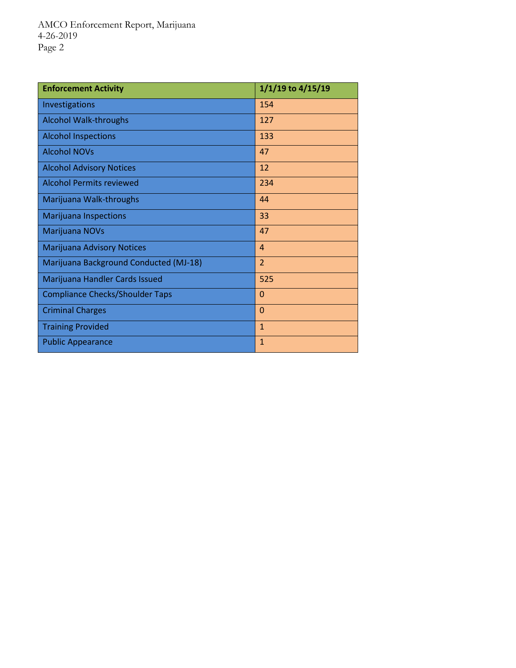| <b>Enforcement Activity</b>            | 1/1/19 to 4/15/19 |
|----------------------------------------|-------------------|
| Investigations                         | 154               |
| <b>Alcohol Walk-throughs</b>           | 127               |
| <b>Alcohol Inspections</b>             | 133               |
| <b>Alcohol NOVs</b>                    | 47                |
| <b>Alcohol Advisory Notices</b>        | 12                |
| <b>Alcohol Permits reviewed</b>        | 234               |
| Marijuana Walk-throughs                | 44                |
| <b>Marijuana Inspections</b>           | 33                |
| Marijuana NOVs                         | 47                |
| Marijuana Advisory Notices             | $\overline{4}$    |
| Marijuana Background Conducted (MJ-18) | $\overline{2}$    |
| Marijuana Handler Cards Issued         | 525               |
| <b>Compliance Checks/Shoulder Taps</b> | $\overline{0}$    |
| <b>Criminal Charges</b>                | $\Omega$          |
| <b>Training Provided</b>               | $\mathbf{1}$      |
| <b>Public Appearance</b>               | $\mathbf{1}$      |